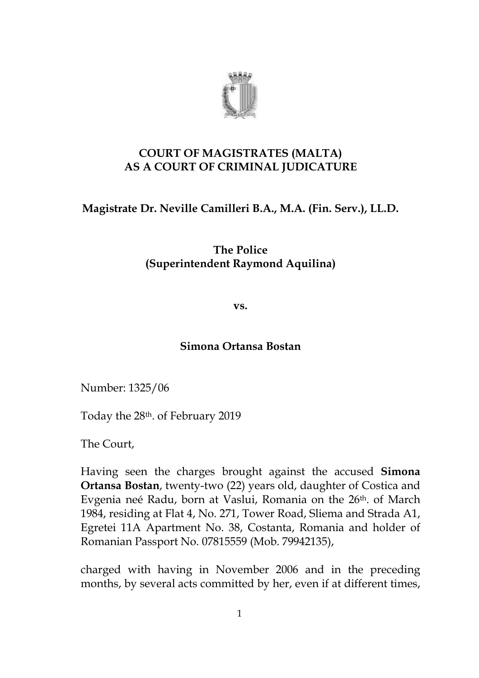

# **COURT OF MAGISTRATES (MALTA) AS A COURT OF CRIMINAL JUDICATURE**

# **Magistrate Dr. Neville Camilleri B.A., M.A. (Fin. Serv.), LL.D.**

**The Police (Superintendent Raymond Aquilina)** 

**vs.** 

# **Simona Ortansa Bostan**

Number: 1325/06

Today the 28th. of February 2019

The Court,

Having seen the charges brought against the accused **Simona Ortansa Bostan**, twenty-two (22) years old, daughter of Costica and Evgenia neé Radu, born at Vaslui, Romania on the 26th. of March 1984, residing at Flat 4, No. 271, Tower Road, Sliema and Strada A1, Egretei 11A Apartment No. 38, Costanta, Romania and holder of Romanian Passport No. 07815559 (Mob. 79942135),

charged with having in November 2006 and in the preceding months, by several acts committed by her, even if at different times,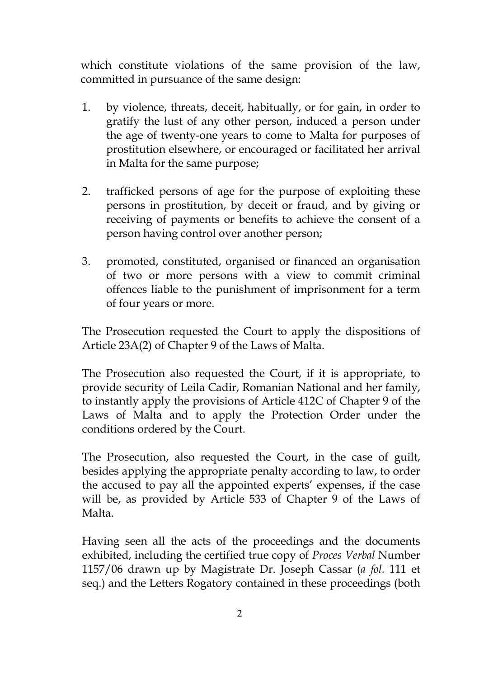which constitute violations of the same provision of the law, committed in pursuance of the same design:

- 1. by violence, threats, deceit, habitually, or for gain, in order to gratify the lust of any other person, induced a person under the age of twenty-one years to come to Malta for purposes of prostitution elsewhere, or encouraged or facilitated her arrival in Malta for the same purpose;
- 2. trafficked persons of age for the purpose of exploiting these persons in prostitution, by deceit or fraud, and by giving or receiving of payments or benefits to achieve the consent of a person having control over another person;
- 3. promoted, constituted, organised or financed an organisation of two or more persons with a view to commit criminal offences liable to the punishment of imprisonment for a term of four years or more.

The Prosecution requested the Court to apply the dispositions of Article 23A(2) of Chapter 9 of the Laws of Malta.

The Prosecution also requested the Court, if it is appropriate, to provide security of Leila Cadir, Romanian National and her family, to instantly apply the provisions of Article 412C of Chapter 9 of the Laws of Malta and to apply the Protection Order under the conditions ordered by the Court.

The Prosecution, also requested the Court, in the case of guilt, besides applying the appropriate penalty according to law, to order the accused to pay all the appointed experts' expenses, if the case will be, as provided by Article 533 of Chapter 9 of the Laws of Malta.

Having seen all the acts of the proceedings and the documents exhibited, including the certified true copy of *Proces Verbal* Number 1157/06 drawn up by Magistrate Dr. Joseph Cassar (*a fol.* 111 et seq.) and the Letters Rogatory contained in these proceedings (both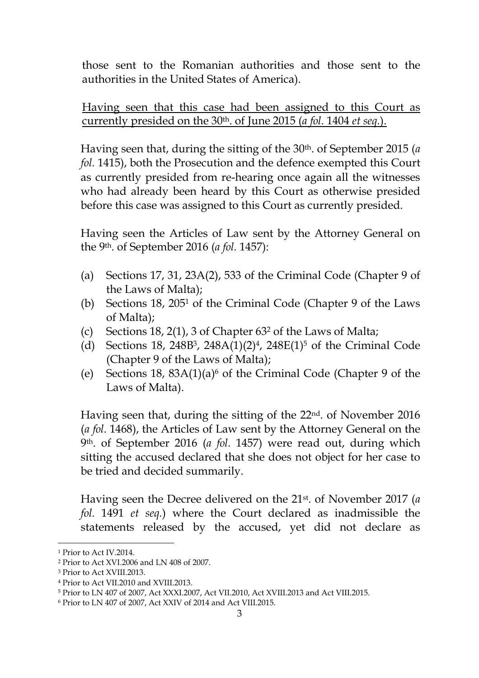those sent to the Romanian authorities and those sent to the authorities in the United States of America).

Having seen that this case had been assigned to this Court as currently presided on the 30th. of June 2015 (*a fol.* 1404 *et seq.*).

Having seen that, during the sitting of the 30th. of September 2015 (*a fol.* 1415), both the Prosecution and the defence exempted this Court as currently presided from re-hearing once again all the witnesses who had already been heard by this Court as otherwise presided before this case was assigned to this Court as currently presided.

Having seen the Articles of Law sent by the Attorney General on the 9th. of September 2016 (*a fol.* 1457):

- (a) Sections 17, 31, 23A(2), 533 of the Criminal Code (Chapter 9 of the Laws of Malta);
- (b) Sections  $18$ ,  $205<sup>1</sup>$  of the Criminal Code (Chapter 9 of the Laws of Malta);
- (c) Sections 18, 2(1), 3 of Chapter  $63<sup>2</sup>$  of the Laws of Malta;
- (d) Sections 18, 248B<sup>3</sup>, 248A(1)(2)<sup>4</sup>, 248E(1)<sup>5</sup> of the Criminal Code (Chapter 9 of the Laws of Malta);
- (e) Sections 18,  $83A(1)(a)$ <sup>6</sup> of the Criminal Code (Chapter 9 of the Laws of Malta).

Having seen that, during the sitting of the 22nd. of November 2016 (*a fol.* 1468), the Articles of Law sent by the Attorney General on the 9th. of September 2016 (*a fol.* 1457) were read out, during which sitting the accused declared that she does not object for her case to be tried and decided summarily.

Having seen the Decree delivered on the 21st. of November 2017 (*a fol.* 1491 *et seq.*) where the Court declared as inadmissible the statements released by the accused, yet did not declare as

<sup>1</sup> Prior to Act IV.2014.

<sup>2</sup> Prior to Act XVI.2006 and LN 408 of 2007.

<sup>3</sup> Prior to Act XVIII.2013.

<sup>4</sup> Prior to Act VII.2010 and XVIII.2013.

<sup>5</sup> Prior to LN 407 of 2007, Act XXXI.2007, Act VII.2010, Act XVIII.2013 and Act VIII.2015.

<sup>6</sup> Prior to LN 407 of 2007, Act XXIV of 2014 and Act VIII.2015.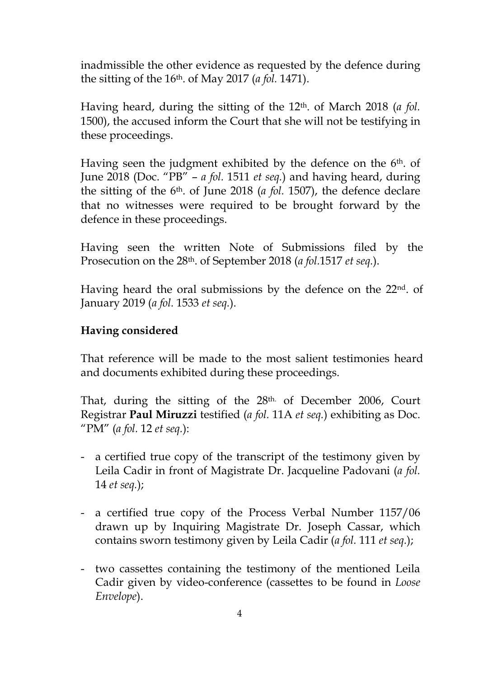inadmissible the other evidence as requested by the defence during the sitting of the 16th. of May 2017 (*a fol.* 1471).

Having heard, during the sitting of the 12th. of March 2018 (*a fol.*  1500), the accused inform the Court that she will not be testifying in these proceedings.

Having seen the judgment exhibited by the defence on the 6<sup>th</sup>. of June 2018 (Doc. "PB" – *a fol.* 1511 *et seq.*) and having heard, during the sitting of the 6th. of June 2018 (*a fol.* 1507), the defence declare that no witnesses were required to be brought forward by the defence in these proceedings.

Having seen the written Note of Submissions filed by the Prosecution on the 28th. of September 2018 (*a fol.*1517 *et seq.*).

Having heard the oral submissions by the defence on the 22nd. of January 2019 (*a fol.* 1533 *et seq.*).

# **Having considered**

That reference will be made to the most salient testimonies heard and documents exhibited during these proceedings.

That, during the sitting of the 28th. of December 2006, Court Registrar **Paul Miruzzi** testified (*a fol.* 11A *et seq.*) exhibiting as Doc. "PM" (*a fol.* 12 *et seq.*):

- a certified true copy of the transcript of the testimony given by Leila Cadir in front of Magistrate Dr. Jacqueline Padovani (*a fol.*  14 *et seq.*);
- a certified true copy of the Process Verbal Number 1157/06 drawn up by Inquiring Magistrate Dr. Joseph Cassar, which contains sworn testimony given by Leila Cadir (*a fol.* 111 *et seq.*);
- two cassettes containing the testimony of the mentioned Leila Cadir given by video-conference (cassettes to be found in *Loose Envelope*).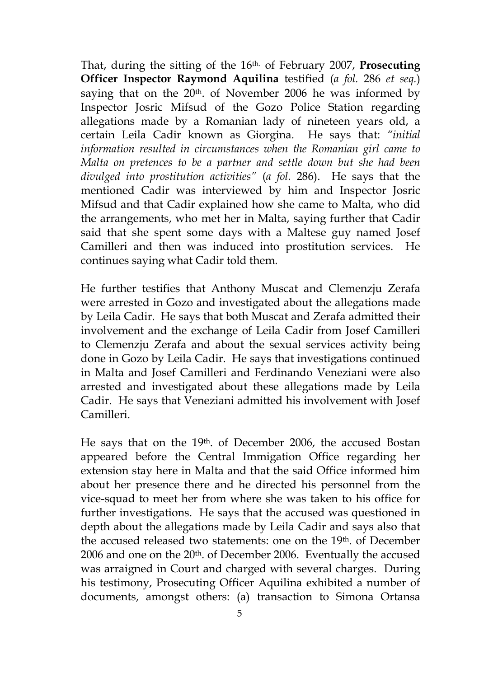That, during the sitting of the 16th. of February 2007, **Prosecuting Officer Inspector Raymond Aquilina** testified (*a fol.* 286 *et seq.*) saying that on the  $20<sup>th</sup>$  of November 2006 he was informed by Inspector Josric Mifsud of the Gozo Police Station regarding allegations made by a Romanian lady of nineteen years old, a certain Leila Cadir known as Giorgina. He says that: *"initial information resulted in circumstances when the Romanian girl came to Malta on pretences to be a partner and settle down but she had been divulged into prostitution activities"* (*a fol.* 286). He says that the mentioned Cadir was interviewed by him and Inspector Josric Mifsud and that Cadir explained how she came to Malta, who did the arrangements, who met her in Malta, saying further that Cadir said that she spent some days with a Maltese guy named Josef Camilleri and then was induced into prostitution services. He continues saying what Cadir told them.

He further testifies that Anthony Muscat and Clemenzju Zerafa were arrested in Gozo and investigated about the allegations made by Leila Cadir. He says that both Muscat and Zerafa admitted their involvement and the exchange of Leila Cadir from Josef Camilleri to Clemenzju Zerafa and about the sexual services activity being done in Gozo by Leila Cadir. He says that investigations continued in Malta and Josef Camilleri and Ferdinando Veneziani were also arrested and investigated about these allegations made by Leila Cadir. He says that Veneziani admitted his involvement with Josef Camilleri.

He says that on the 19th. of December 2006, the accused Bostan appeared before the Central Immigation Office regarding her extension stay here in Malta and that the said Office informed him about her presence there and he directed his personnel from the vice-squad to meet her from where she was taken to his office for further investigations. He says that the accused was questioned in depth about the allegations made by Leila Cadir and says also that the accused released two statements: one on the 19th. of December 2006 and one on the 20<sup>th</sup>. of December 2006. Eventually the accused was arraigned in Court and charged with several charges. During his testimony, Prosecuting Officer Aquilina exhibited a number of documents, amongst others: (a) transaction to Simona Ortansa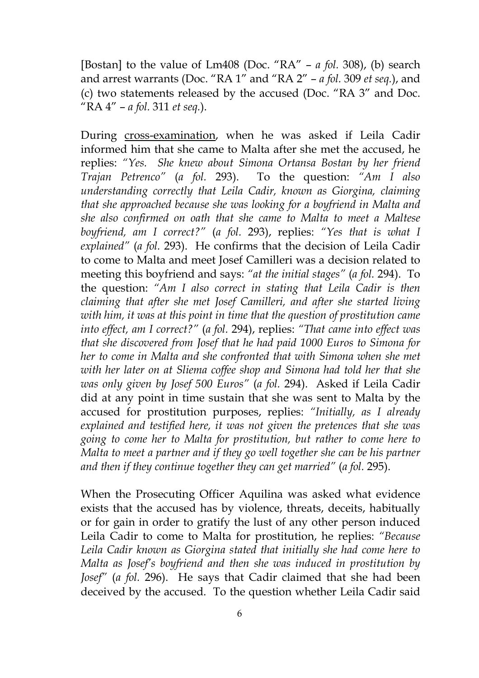[Bostan] to the value of Lm408 (Doc. "RA" – *a fol.* 308), (b) search and arrest warrants (Doc. "RA 1" and "RA 2" – *a fol.* 309 *et seq.*), and (c) two statements released by the accused (Doc. "RA 3" and Doc. "RA 4" – *a fol.* 311 *et seq.*).

During cross-examination, when he was asked if Leila Cadir informed him that she came to Malta after she met the accused, he replies: *"Yes. She knew about Simona Ortansa Bostan by her friend Trajan Petrenco"* (*a fol.* 293). To the question: *"Am I also understanding correctly that Leila Cadir, known as Giorgina, claiming that she approached because she was looking for a boyfriend in Malta and she also confirmed on oath that she came to Malta to meet a Maltese boyfriend, am I correct?"* (*a fol.* 293), replies: *"Yes that is what I explained"* (*a fol.* 293). He confirms that the decision of Leila Cadir to come to Malta and meet Josef Camilleri was a decision related to meeting this boyfriend and says: *"at the initial stages"* (*a fol.* 294). To the question: *"Am I also correct in stating that Leila Cadir is then claiming that after she met Josef Camilleri, and after she started living with him, it was at this point in time that the question of prostitution came into effect, am I correct?"* (*a fol.* 294), replies: *"That came into effect was that she discovered from Josef that he had paid 1000 Euros to Simona for her to come in Malta and she confronted that with Simona when she met with her later on at Sliema coffee shop and Simona had told her that she was only given by Josef 500 Euros"* (*a fol.* 294). Asked if Leila Cadir did at any point in time sustain that she was sent to Malta by the accused for prostitution purposes, replies: *"Initially, as I already explained and testified here, it was not given the pretences that she was going to come her to Malta for prostitution, but rather to come here to Malta to meet a partner and if they go well together she can be his partner and then if they continue together they can get married"* (*a fol.* 295).

When the Prosecuting Officer Aquilina was asked what evidence exists that the accused has by violence, threats, deceits, habitually or for gain in order to gratify the lust of any other person induced Leila Cadir to come to Malta for prostitution, he replies: *"Because Leila Cadir known as Giorgina stated that initially she had come here to Malta as Josef's boyfriend and then she was induced in prostitution by Josef" (a fol.* 296). He says that Cadir claimed that she had been deceived by the accused. To the question whether Leila Cadir said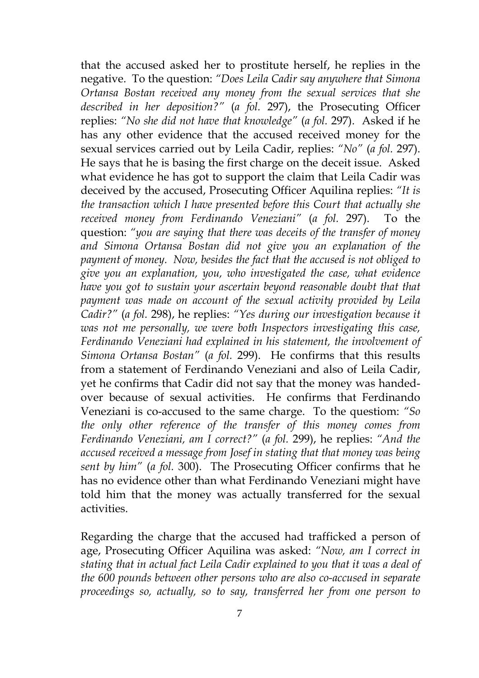that the accused asked her to prostitute herself, he replies in the negative. To the question: *"Does Leila Cadir say anywhere that Simona Ortansa Bostan received any money from the sexual services that she described in her deposition?"* (*a fol.* 297), the Prosecuting Officer replies: *"No she did not have that knowledge"* (*a fol.* 297). Asked if he has any other evidence that the accused received money for the sexual services carried out by Leila Cadir, replies: *"No"* (*a fol.* 297). He says that he is basing the first charge on the deceit issue. Asked what evidence he has got to support the claim that Leila Cadir was deceived by the accused, Prosecuting Officer Aquilina replies: *"It is the transaction which I have presented before this Court that actually she received money from Ferdinando Veneziani"* (*a fol.* 297). To the question: *"you are saying that there was deceits of the transfer of money and Simona Ortansa Bostan did not give you an explanation of the payment of money. Now, besides the fact that the accused is not obliged to give you an explanation, you, who investigated the case, what evidence have you got to sustain your ascertain beyond reasonable doubt that that payment was made on account of the sexual activity provided by Leila Cadir?"* (*a fol.* 298), he replies: *"Yes during our investigation because it was not me personally, we were both Inspectors investigating this case, Ferdinando Veneziani had explained in his statement, the involvement of Simona Ortansa Bostan"* (*a fol.* 299). He confirms that this results from a statement of Ferdinando Veneziani and also of Leila Cadir, yet he confirms that Cadir did not say that the money was handedover because of sexual activities. He confirms that Ferdinando Veneziani is co-accused to the same charge. To the questiom: *"So the only other reference of the transfer of this money comes from Ferdinando Veneziani, am I correct?"* (*a fol.* 299), he replies: *"And the accused received a message from Josef in stating that that money was being sent by him"* (*a fol.* 300). The Prosecuting Officer confirms that he has no evidence other than what Ferdinando Veneziani might have told him that the money was actually transferred for the sexual activities.

Regarding the charge that the accused had trafficked a person of age, Prosecuting Officer Aquilina was asked: *"Now, am I correct in stating that in actual fact Leila Cadir explained to you that it was a deal of the 600 pounds between other persons who are also co-accused in separate proceedings so, actually, so to say, transferred her from one person to*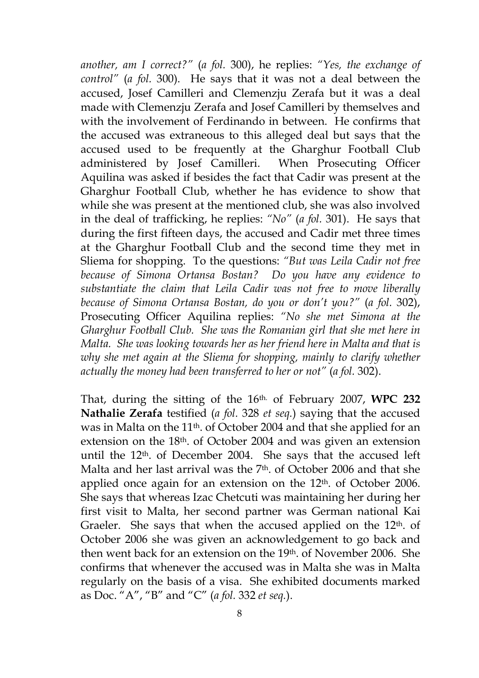*another, am I correct?"* (*a fol.* 300), he replies: *"Yes, the exchange of control"* (*a fol.* 300). He says that it was not a deal between the accused, Josef Camilleri and Clemenzju Zerafa but it was a deal made with Clemenzju Zerafa and Josef Camilleri by themselves and with the involvement of Ferdinando in between. He confirms that the accused was extraneous to this alleged deal but says that the accused used to be frequently at the Gharghur Football Club administered by Josef Camilleri. When Prosecuting Officer Aquilina was asked if besides the fact that Cadir was present at the Gharghur Football Club, whether he has evidence to show that while she was present at the mentioned club, she was also involved in the deal of trafficking, he replies: *"No"* (*a fol.* 301). He says that during the first fifteen days, the accused and Cadir met three times at the Gharghur Football Club and the second time they met in Sliema for shopping. To the questions: *"But was Leila Cadir not free because of Simona Ortansa Bostan? Do you have any evidence to substantiate the claim that Leila Cadir was not free to move liberally because of Simona Ortansa Bostan, do you or don't you?"* (*a fol.* 302), Prosecuting Officer Aquilina replies: *"No she met Simona at the Gharghur Football Club. She was the Romanian girl that she met here in Malta. She was looking towards her as her friend here in Malta and that is why she met again at the Sliema for shopping, mainly to clarify whether actually the money had been transferred to her or not"* (*a fol.* 302).

That, during the sitting of the 16th. of February 2007, **WPC 232 Nathalie Zerafa** testified (*a fol.* 328 *et seq.*) saying that the accused was in Malta on the 11th. of October 2004 and that she applied for an extension on the 18th. of October 2004 and was given an extension until the 12th. of December 2004. She says that the accused left Malta and her last arrival was the 7<sup>th</sup>, of October 2006 and that she applied once again for an extension on the 12th. of October 2006. She says that whereas Izac Chetcuti was maintaining her during her first visit to Malta, her second partner was German national Kai Graeler. She says that when the accused applied on the 12<sup>th</sup>. of October 2006 she was given an acknowledgement to go back and then went back for an extension on the 19th. of November 2006. She confirms that whenever the accused was in Malta she was in Malta regularly on the basis of a visa. She exhibited documents marked as Doc. "A", "B" and "C" (*a fol.* 332 *et seq.*).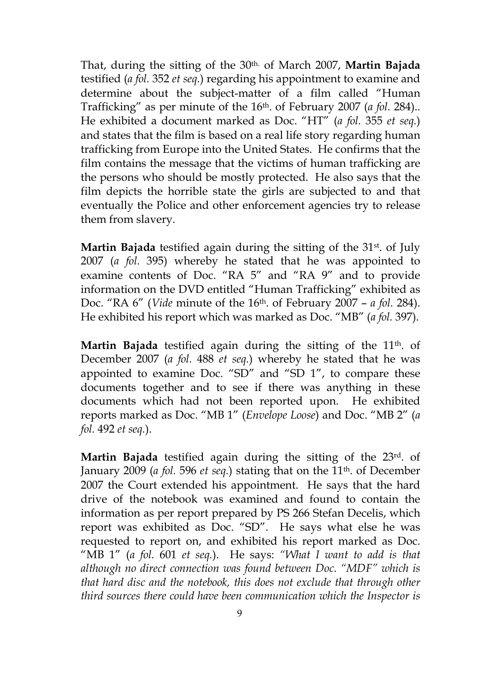That, during the sitting of the 30th. of March 2007, **Martin Bajada**  testified (*a fol.* 352 *et seq.*) regarding his appointment to examine and determine about the subject-matter of a film called "Human Trafficking" as per minute of the 16th. of February 2007 (*a fol.* 284).. He exhibited a document marked as Doc. "HT" (*a fol.* 355 *et seq.*) and states that the film is based on a real life story regarding human trafficking from Europe into the United States. He confirms that the film contains the message that the victims of human trafficking are the persons who should be mostly protected. He also says that the film depicts the horrible state the girls are subjected to and that eventually the Police and other enforcement agencies try to release them from slavery.

**Martin Bajada** testified again during the sitting of the 31<sup>st</sup>. of July 2007 (*a fol.* 395) whereby he stated that he was appointed to examine contents of Doc. "RA 5" and "RA 9" and to provide information on the DVD entitled "Human Trafficking" exhibited as Doc. "RA 6" (*Vide* minute of the 16th. of February 2007 – *a fol.* 284). He exhibited his report which was marked as Doc. "MB" (*a fol.* 397).

Martin Bajada testified again during the sitting of the 11<sup>th</sup>. of December 2007 (*a fol.* 488 *et seq.*) whereby he stated that he was appointed to examine Doc. "SD" and "SD 1", to compare these documents together and to see if there was anything in these documents which had not been reported upon. He exhibited reports marked as Doc. "MB 1" (*Envelope Loose*) and Doc. "MB 2" (*a fol.* 492 *et seq.*).

**Martin Bajada** testified again during the sitting of the 23rd. of January 2009 (*a fol.* 596 *et seq.*) stating that on the 11th. of December 2007 the Court extended his appointment. He says that the hard drive of the notebook was examined and found to contain the information as per report prepared by PS 266 Stefan Decelis, which report was exhibited as Doc. "SD". He says what else he was requested to report on, and exhibited his report marked as Doc. "MB 1" (*a fol.* 601 *et seq.*). He says: *"What I want to add is that although no direct connection was found between Doc. "MDF" which is that hard disc and the notebook, this does not exclude that through other third sources there could have been communication which the Inspector is*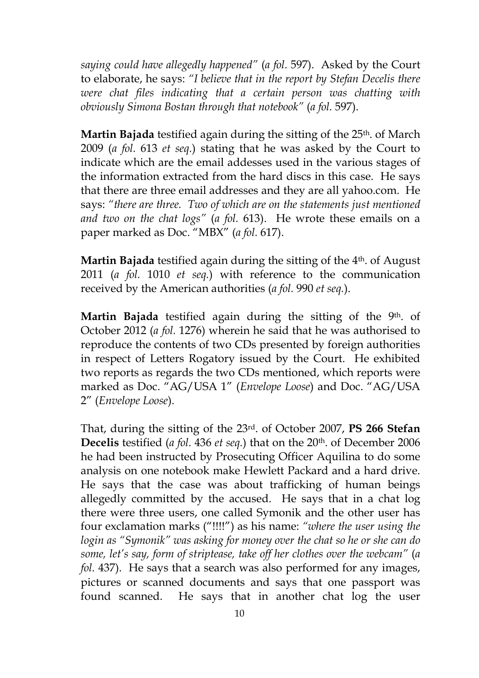*saying could have allegedly happened"* (*a fol.* 597). Asked by the Court to elaborate, he says: *"I believe that in the report by Stefan Decelis there were chat files indicating that a certain person was chatting with obviously Simona Bostan through that notebook"* (*a fol.* 597).

**Martin Bajada** testified again during the sitting of the 25<sup>th</sup>. of March 2009 (*a fol.* 613 *et seq.*) stating that he was asked by the Court to indicate which are the email addesses used in the various stages of the information extracted from the hard discs in this case. He says that there are three email addresses and they are all yahoo.com. He says: *"there are three. Two of which are on the statements just mentioned and two on the chat logs"* (*a fol.* 613). He wrote these emails on a paper marked as Doc. "MBX" (*a fol.* 617).

**Martin Bajada** testified again during the sitting of the 4<sup>th</sup>. of August 2011 (*a fol.* 1010 *et seq.*) with reference to the communication received by the American authorities (*a fol.* 990 *et seq.*).

**Martin Bajada** testified again during the sitting of the 9<sup>th</sup>. of October 2012 (*a fol.* 1276) wherein he said that he was authorised to reproduce the contents of two CDs presented by foreign authorities in respect of Letters Rogatory issued by the Court. He exhibited two reports as regards the two CDs mentioned, which reports were marked as Doc. "AG/USA 1" (*Envelope Loose*) and Doc. "AG/USA 2" (*Envelope Loose*).

That, during the sitting of the 23rd. of October 2007, **PS 266 Stefan Decelis** testified (*a fol.* 436 *et seq.*) that on the 20th. of December 2006 he had been instructed by Prosecuting Officer Aquilina to do some analysis on one notebook make Hewlett Packard and a hard drive. He says that the case was about trafficking of human beings allegedly committed by the accused. He says that in a chat log there were three users, one called Symonik and the other user has four exclamation marks ("!!!!") as his name: *"where the user using the login as "Symonik" was asking for money over the chat so he or she can do some, let's say, form of striptease, take off her clothes over the webcam"* (*a fol.* 437). He says that a search was also performed for any images, pictures or scanned documents and says that one passport was found scanned. He says that in another chat log the user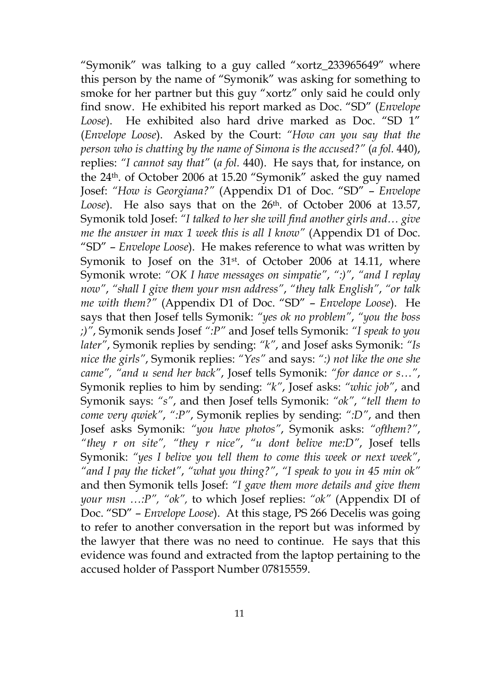"Symonik" was talking to a guy called "xortz\_233965649" where this person by the name of "Symonik" was asking for something to smoke for her partner but this guy "xortz" only said he could only find snow. He exhibited his report marked as Doc. "SD" (*Envelope Loose*). He exhibited also hard drive marked as Doc. "SD 1" (*Envelope Loose*). Asked by the Court: *"How can you say that the person who is chatting by the name of Simona is the accused?"* (*a fol.* 440), replies: *"I cannot say that"* (*a fol.* 440). He says that, for instance, on the 24th. of October 2006 at 15.20 "Symonik" asked the guy named Josef: *"How is Georgiana?"* (Appendix D1 of Doc. "SD" – *Envelope*  Loose). He also says that on the 26<sup>th</sup>. of October 2006 at 13.57, Symonik told Josef: *"I talked to her she will find another girls and… give me the answer in max 1 week this is all I know" (Appendix D1 of Doc.* "SD" – *Envelope Loose*). He makes reference to what was written by Symonik to Josef on the 31<sup>st</sup>. of October 2006 at 14.11, where Symonik wrote: *"OK I have messages on simpatie"*, *":)"*, *"and I replay now"*, *"shall I give them your msn address"*, *"they talk English"*, *"or talk me with them?"* (Appendix D1 of Doc. "SD" – *Envelope Loose*). He says that then Josef tells Symonik: *"yes ok no problem"*, *"you the boss ;)"*, Symonik sends Josef *":P"* and Josef tells Symonik: *"I speak to you later"*, Symonik replies by sending: *"k"*, and Josef asks Symonik: *"Is nice the girls"*, Symonik replies: *"Yes"* and says: *":) not like the one she came", "and u send her back"*, Josef tells Symonik: *"for dance or s…"*, Symonik replies to him by sending: *"k"*, Josef asks: *"whic job"*, and Symonik says: *"s"*, and then Josef tells Symonik: *"ok"*, *"tell them to come very qwiek"*, *":P"*, Symonik replies by sending: *":D"*, and then Josef asks Symonik: *"you have photos"*, Symonik asks: *"ofthem?"*, *"they r on site", "they r nice"*, *"u dont belive me:D"*, Josef tells Symonik: *"yes I belive you tell them to come this week or next week"*, *"and I pay the ticket"*, *"what you thing?"*, *"I speak to you in 45 min ok"* and then Symonik tells Josef: *"I gave them more details and give them your msn …:P", "ok",* to which Josef replies: *"ok"* (Appendix DI of Doc. "SD" – *Envelope Loose*). At this stage, PS 266 Decelis was going to refer to another conversation in the report but was informed by the lawyer that there was no need to continue. He says that this evidence was found and extracted from the laptop pertaining to the accused holder of Passport Number 07815559.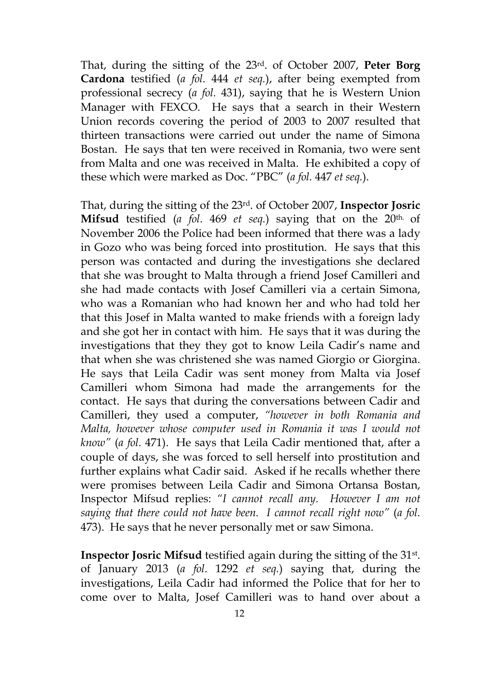That, during the sitting of the 23rd. of October 2007, **Peter Borg Cardona** testified (*a fol.* 444 *et seq.*), after being exempted from professional secrecy (*a fol.* 431), saying that he is Western Union Manager with FEXCO. He says that a search in their Western Union records covering the period of 2003 to 2007 resulted that thirteen transactions were carried out under the name of Simona Bostan. He says that ten were received in Romania, two were sent from Malta and one was received in Malta. He exhibited a copy of these which were marked as Doc. "PBC" (*a fol.* 447 *et seq.*).

That, during the sitting of the 23rd. of October 2007, **Inspector Josric Mifsud** testified (*a fol.* 469 *et seq.*) saying that on the 20th. of November 2006 the Police had been informed that there was a lady in Gozo who was being forced into prostitution. He says that this person was contacted and during the investigations she declared that she was brought to Malta through a friend Josef Camilleri and she had made contacts with Josef Camilleri via a certain Simona, who was a Romanian who had known her and who had told her that this Josef in Malta wanted to make friends with a foreign lady and she got her in contact with him. He says that it was during the investigations that they they got to know Leila Cadir's name and that when she was christened she was named Giorgio or Giorgina. He says that Leila Cadir was sent money from Malta via Josef Camilleri whom Simona had made the arrangements for the contact. He says that during the conversations between Cadir and Camilleri, they used a computer, *"however in both Romania and Malta, however whose computer used in Romania it was I would not know"* (*a fol.* 471). He says that Leila Cadir mentioned that, after a couple of days, she was forced to sell herself into prostitution and further explains what Cadir said. Asked if he recalls whether there were promises between Leila Cadir and Simona Ortansa Bostan, Inspector Mifsud replies: *"I cannot recall any. However I am not saying that there could not have been. I cannot recall right now"* (*a fol.*  473). He says that he never personally met or saw Simona.

**Inspector Josric Mifsud** testified again during the sitting of the 31<sup>st</sup>. of January 2013 (*a fol.* 1292 *et seq.*) saying that, during the investigations, Leila Cadir had informed the Police that for her to come over to Malta, Josef Camilleri was to hand over about a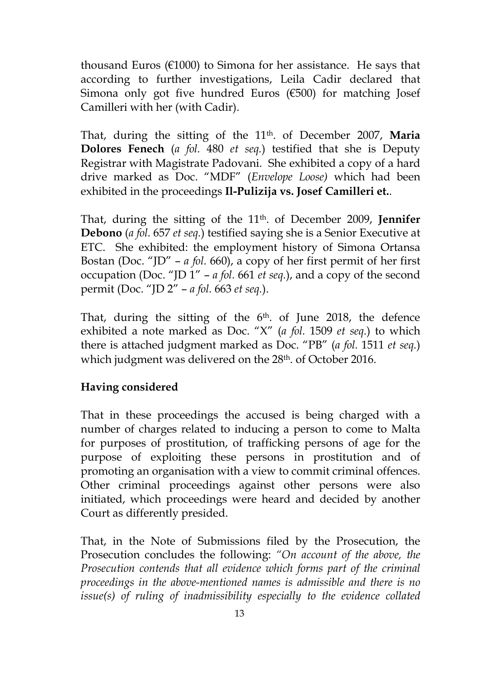thousand Euros ( $E1000$ ) to Simona for her assistance. He says that according to further investigations, Leila Cadir declared that Simona only got five hundred Euros (€500) for matching Josef Camilleri with her (with Cadir).

That, during the sitting of the 11<sup>th</sup>. of December 2007, Maria **Dolores Fenech** (*a fol.* 480 *et seq.*) testified that she is Deputy Registrar with Magistrate Padovani. She exhibited a copy of a hard drive marked as Doc. "MDF" (*Envelope Loose)* which had been exhibited in the proceedings **Il-Pulizija vs. Josef Camilleri et.**.

That, during the sitting of the 11th. of December 2009, **Jennifer Debono** (*a fol.* 657 *et seq.*) testified saying she is a Senior Executive at ETC. She exhibited: the employment history of Simona Ortansa Bostan (Doc. "JD" – *a fol.* 660), a copy of her first permit of her first occupation (Doc. "JD 1" – *a fol.* 661 *et seq.*), and a copy of the second permit (Doc. "JD 2" – *a fol.* 663 *et seq.*).

That, during the sitting of the 6<sup>th</sup>. of June 2018, the defence exhibited a note marked as Doc. "X" (*a fol.* 1509 *et seq.*) to which there is attached judgment marked as Doc. "PB" (*a fol.* 1511 *et seq.*) which judgment was delivered on the 28<sup>th</sup>. of October 2016.

# **Having considered**

That in these proceedings the accused is being charged with a number of charges related to inducing a person to come to Malta for purposes of prostitution, of trafficking persons of age for the purpose of exploiting these persons in prostitution and of promoting an organisation with a view to commit criminal offences. Other criminal proceedings against other persons were also initiated, which proceedings were heard and decided by another Court as differently presided.

That, in the Note of Submissions filed by the Prosecution, the Prosecution concludes the following: *"On account of the above, the Prosecution contends that all evidence which forms part of the criminal proceedings in the above-mentioned names is admissible and there is no issue(s) of ruling of inadmissibility especially to the evidence collated*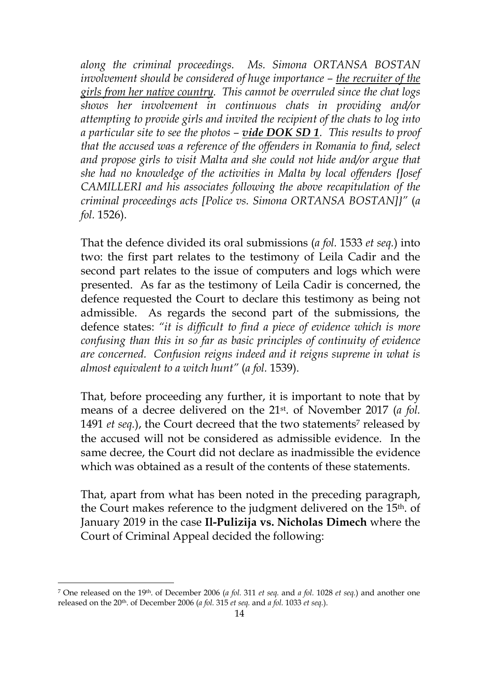*along the criminal proceedings. Ms. Simona ORTANSA BOSTAN involvement should be considered of huge importance – the recruiter of the girls from her native country. This cannot be overruled since the chat logs shows her involvement in continuous chats in providing and/or attempting to provide girls and invited the recipient of the chats to log into a particular site to see the photos – vide DOK SD 1. This results to proof that the accused was a reference of the offenders in Romania to find, select and propose girls to visit Malta and she could not hide and/or argue that she had no knowledge of the activities in Malta by local offenders {Josef CAMILLERI and his associates following the above recapitulation of the criminal proceedings acts [Police vs. Simona ORTANSA BOSTAN]}"* (*a fol.* 1526).

That the defence divided its oral submissions (*a fol.* 1533 *et seq.*) into two: the first part relates to the testimony of Leila Cadir and the second part relates to the issue of computers and logs which were presented. As far as the testimony of Leila Cadir is concerned, the defence requested the Court to declare this testimony as being not admissible. As regards the second part of the submissions, the defence states: *"it is difficult to find a piece of evidence which is more confusing than this in so far as basic principles of continuity of evidence are concerned. Confusion reigns indeed and it reigns supreme in what is almost equivalent to a witch hunt"* (*a fol.* 1539).

That, before proceeding any further, it is important to note that by means of a decree delivered on the 21st. of November 2017 (*a fol.*  1491 *et seq.*), the Court decreed that the two statements<sup>7</sup> released by the accused will not be considered as admissible evidence. In the same decree, the Court did not declare as inadmissible the evidence which was obtained as a result of the contents of these statements.

That, apart from what has been noted in the preceding paragraph, the Court makes reference to the judgment delivered on the 15th. of January 2019 in the case **Il-Pulizija vs. Nicholas Dimech** where the Court of Criminal Appeal decided the following:

<sup>7</sup> One released on the 19th. of December 2006 (*a fol.* 311 *et seq.* and *a fol.* 1028 *et seq.*) and another one released on the 20th. of December 2006 (*a fol.* 315 *et seq.* and *a fol.* 1033 *et seq.*).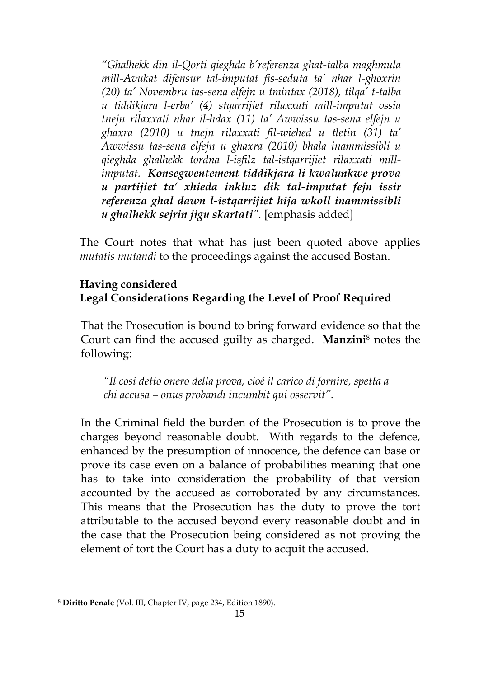*"Ghalhekk din il-Qorti qieghda b'referenza ghat-talba maghmula mill-Avukat difensur tal-imputat fis-seduta ta' nhar l-ghoxrin (20) ta' Novembru tas-sena elfejn u tmintax (2018), tilqa' t-talba u tiddikjara l-erba' (4) stqarrijiet rilaxxati mill-imputat ossia tnejn rilaxxati nhar il-hdax (11) ta' Awwissu tas-sena elfejn u ghaxra (2010) u tnejn rilaxxati fil-wiehed u tletin (31) ta' Awwissu tas-sena elfejn u ghaxra (2010) bhala inammissibli u qieghda ghalhekk tordna l-isfilz tal-istqarrijiet rilaxxati millimputat. Konsegwentement tiddikjara li kwalunkwe prova u partijiet ta' xhieda inkluz dik tal-imputat fejn issir referenza ghal dawn l-istqarrijiet hija wkoll inammissibli u ghalhekk sejrin jigu skartati".* [emphasis added]

The Court notes that what has just been quoted above applies *mutatis mutandi* to the proceedings against the accused Bostan.

# **Having considered Legal Considerations Regarding the Level of Proof Required**

That the Prosecution is bound to bring forward evidence so that the Court can find the accused guilty as charged. **Manzini**<sup>8</sup> notes the following:

*"Il così detto onero della prova, cioé il carico di fornire, spetta a chi accusa – onus probandi incumbit qui osservit".*

In the Criminal field the burden of the Prosecution is to prove the charges beyond reasonable doubt. With regards to the defence, enhanced by the presumption of innocence, the defence can base or prove its case even on a balance of probabilities meaning that one has to take into consideration the probability of that version accounted by the accused as corroborated by any circumstances. This means that the Prosecution has the duty to prove the tort attributable to the accused beyond every reasonable doubt and in the case that the Prosecution being considered as not proving the element of tort the Court has a duty to acquit the accused.

<sup>8</sup> **Diritto Penale** (Vol. III, Chapter IV, page 234, Edition 1890).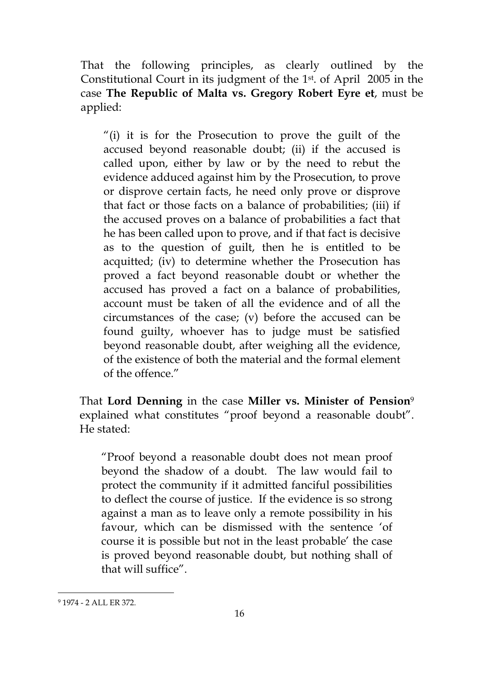That the following principles, as clearly outlined by the Constitutional Court in its judgment of the 1st. of April 2005 in the case **The Republic of Malta vs. Gregory Robert Eyre et**, must be applied:

"(i) it is for the Prosecution to prove the guilt of the accused beyond reasonable doubt; (ii) if the accused is called upon, either by law or by the need to rebut the evidence adduced against him by the Prosecution, to prove or disprove certain facts, he need only prove or disprove that fact or those facts on a balance of probabilities; (iii) if the accused proves on a balance of probabilities a fact that he has been called upon to prove, and if that fact is decisive as to the question of guilt, then he is entitled to be acquitted; (iv) to determine whether the Prosecution has proved a fact beyond reasonable doubt or whether the accused has proved a fact on a balance of probabilities, account must be taken of all the evidence and of all the circumstances of the case; (v) before the accused can be found guilty, whoever has to judge must be satisfied beyond reasonable doubt, after weighing all the evidence, of the existence of both the material and the formal element of the offence."

That **Lord Denning** in the case **Miller vs. Minister of Pension**<sup>9</sup> explained what constitutes "proof beyond a reasonable doubt". He stated:

"Proof beyond a reasonable doubt does not mean proof beyond the shadow of a doubt. The law would fail to protect the community if it admitted fanciful possibilities to deflect the course of justice. If the evidence is so strong against a man as to leave only a remote possibility in his favour, which can be dismissed with the sentence 'of course it is possible but not in the least probable' the case is proved beyond reasonable doubt, but nothing shall of that will suffice".

<sup>9</sup> 1974 - 2 ALL ER 372.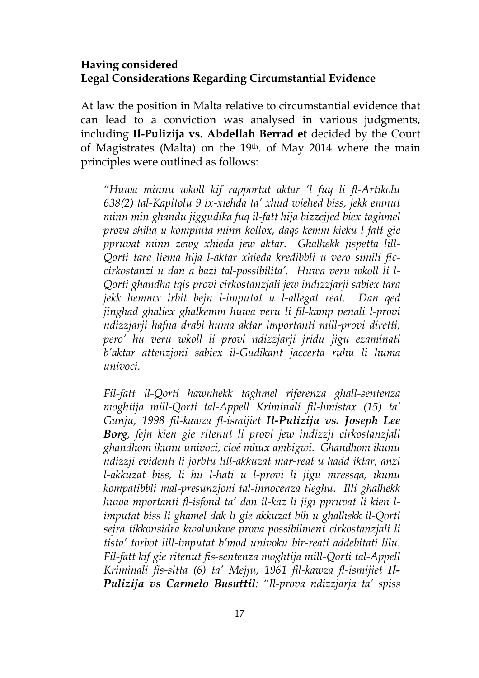### **Having considered Legal Considerations Regarding Circumstantial Evidence**

At law the position in Malta relative to circumstantial evidence that can lead to a conviction was analysed in various judgments, including **Il-Pulizija vs. Abdellah Berrad et** decided by the Court of Magistrates (Malta) on the 19th. of May 2014 where the main principles were outlined as follows:

*"Huwa minnu wkoll kif rapportat aktar 'l fuq li fl-Artikolu 638(2) tal-Kapitolu 9 ix-xiehda ta' xhud wiehed biss, jekk emnut minn min ghandu jiggudika fuq il-fatt hija bizzejjed biex taghmel prova shiha u kompluta minn kollox, daqs kemm kieku l-fatt gie ppruvat minn zewg xhieda jew aktar. Ghalhekk jispetta lill-Qorti tara liema hija l-aktar xhieda kredibbli u vero simili ficcirkostanzi u dan a bazi tal-possibilita'. Huwa veru wkoll li l-Qorti ghandha tqis provi cirkostanzjali jew indizzjarji sabiex tara jekk hemmx irbit bejn l-imputat u l-allegat reat. Dan qed jinghad ghaliex ghalkemm huwa veru li fil-kamp penali l-provi ndizzjarji hafna drabi huma aktar importanti mill-provi diretti, pero' hu veru wkoll li provi ndizzjarji jridu jigu ezaminati b'aktar attenzjoni sabiex il-Gudikant jaccerta ruhu li huma univoci.* 

*Fil-fatt il-Qorti hawnhekk taghmel riferenza ghall-sentenza moghtija mill-Qorti tal-Appell Kriminali fil-hmistax (15) ta' Gunju, 1998 fil-kawza fl-ismijiet Il-Pulizija vs. Joseph Lee Borg, fejn kien gie ritenut li provi jew indizzji cirkostanzjali ghandhom ikunu univoci, cioé mhux ambigwi. Ghandhom ikunu ndizzji evidenti li jorbtu lill-akkuzat mar-reat u hadd iktar, anzi l-akkuzat biss, li hu l-hati u l-provi li jigu mressqa, ikunu kompatibbli mal-presunzjoni tal-innocenza tieghu. Illi ghalhekk huwa mportanti fl-isfond ta' dan il-kaz li jigi ppruvat li kien limputat biss li ghamel dak li gie akkuzat bih u ghalhekk il-Qorti sejra tikkonsidra kwalunkwe prova possibilment cirkostanzjali li tista' torbot lill-imputat b'mod univoku bir-reati addebitati lilu. Fil-fatt kif gie ritenut fis-sentenza moghtija mill-Qorti tal-Appell Kriminali fis-sitta (6) ta' Mejju, 1961 fil-kawza fl-ismijiet Il-Pulizija vs Carmelo Busuttil: "Il-prova ndizzjarja ta' spiss*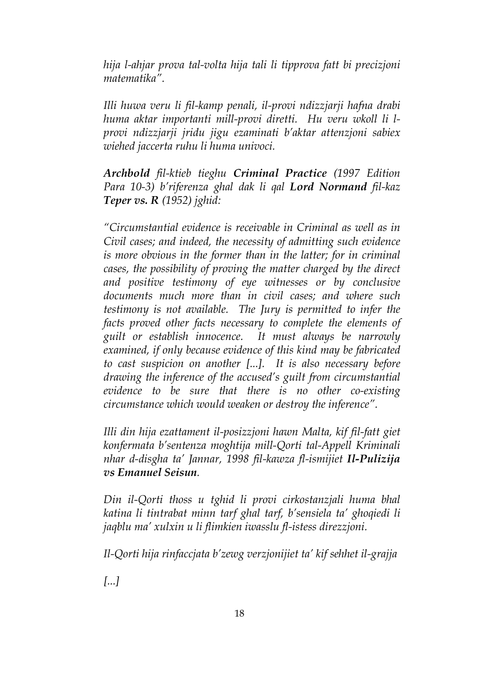*hija l-ahjar prova tal-volta hija tali li tipprova fatt bi precizjoni matematika".* 

*Illi huwa veru li fil-kamp penali, il-provi ndizzjarji hafna drabi huma aktar importanti mill-provi diretti. Hu veru wkoll li lprovi ndizzjarji jridu jigu ezaminati b'aktar attenzjoni sabiex wiehed jaccerta ruhu li huma univoci.* 

*Archbold fil-ktieb tieghu Criminal Practice (1997 Edition Para 10-3) b'riferenza ghal dak li qal Lord Normand fil-kaz Teper vs. R (1952) jghid:* 

*"Circumstantial evidence is receivable in Criminal as well as in Civil cases; and indeed, the necessity of admitting such evidence is more obvious in the former than in the latter; for in criminal cases, the possibility of proving the matter charged by the direct and positive testimony of eye witnesses or by conclusive documents much more than in civil cases; and where such testimony is not available. The Jury is permitted to infer the facts proved other facts necessary to complete the elements of guilt or establish innocence. It must always be narrowly examined, if only because evidence of this kind may be fabricated to cast suspicion on another [...]. It is also necessary before drawing the inference of the accused's guilt from circumstantial evidence to be sure that there is no other co-existing circumstance which would weaken or destroy the inference".* 

*Illi din hija ezattament il-posizzjoni hawn Malta, kif fil-fatt giet konfermata b'sentenza moghtija mill-Qorti tal-Appell Kriminali nhar d-disgha ta' Jannar, 1998 fil-kawza fl-ismijiet Il-Pulizija vs Emanuel Seisun.* 

*Din il-Qorti thoss u tghid li provi cirkostanzjali huma bhal katina li tintrabat minn tarf ghal tarf, b'sensiela ta' ghoqiedi li jaqblu ma' xulxin u li flimkien iwasslu fl-istess direzzjoni.* 

*Il-Qorti hija rinfaccjata b'zewg verzjonijiet ta' kif sehhet il-grajja* 

*[...]*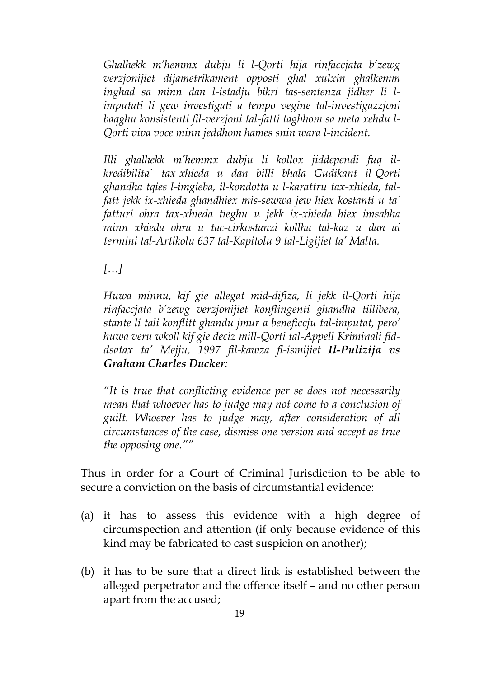*Ghalhekk m'hemmx dubju li l-Qorti hija rinfaccjata b'zewg verzjonijiet dijametrikament opposti ghal xulxin ghalkemm inghad sa minn dan l-istadju bikri tas-sentenza jidher li limputati li gew investigati a tempo vegine tal-investigazzjoni baqghu konsistenti fil-verzjoni tal-fatti taghhom sa meta xehdu l-Qorti viva voce minn jeddhom hames snin wara l-incident.* 

*Illi ghalhekk m'hemmx dubju li kollox jiddependi fuq ilkredibilita` tax-xhieda u dan billi bhala Gudikant il-Qorti ghandha tqies l-imgieba, il-kondotta u l-karattru tax-xhieda, talfatt jekk ix-xhieda ghandhiex mis-sewwa jew hiex kostanti u ta' fatturi ohra tax-xhieda tieghu u jekk ix-xhieda hiex imsahha minn xhieda ohra u tac-cirkostanzi kollha tal-kaz u dan ai termini tal-Artikolu 637 tal-Kapitolu 9 tal-Ligijiet ta' Malta.* 

*[…]* 

*Huwa minnu, kif gie allegat mid-difiza, li jekk il-Qorti hija rinfaccjata b'zewg verzjonijiet konflingenti ghandha tillibera, stante li tali konflitt ghandu jmur a beneficcju tal-imputat, pero' huwa veru wkoll kif gie deciz mill-Qorti tal-Appell Kriminali fiddsatax ta' Mejju, 1997 fil-kawza fl-ismijiet Il-Pulizija vs Graham Charles Ducker:* 

*"It is true that conflicting evidence per se does not necessarily mean that whoever has to judge may not come to a conclusion of guilt. Whoever has to judge may, after consideration of all circumstances of the case, dismiss one version and accept as true the opposing one.""* 

Thus in order for a Court of Criminal Jurisdiction to be able to secure a conviction on the basis of circumstantial evidence:

- (a) it has to assess this evidence with a high degree of circumspection and attention (if only because evidence of this kind may be fabricated to cast suspicion on another);
- (b) it has to be sure that a direct link is established between the alleged perpetrator and the offence itself – and no other person apart from the accused;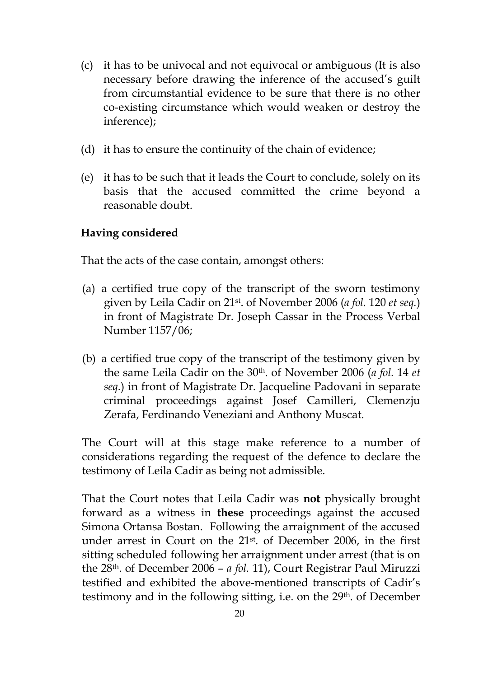- (c) it has to be univocal and not equivocal or ambiguous (It is also necessary before drawing the inference of the accused's guilt from circumstantial evidence to be sure that there is no other co-existing circumstance which would weaken or destroy the inference);
- (d) it has to ensure the continuity of the chain of evidence;
- (e) it has to be such that it leads the Court to conclude, solely on its basis that the accused committed the crime beyond a reasonable doubt.

#### **Having considered**

That the acts of the case contain, amongst others:

- (a) a certified true copy of the transcript of the sworn testimony given by Leila Cadir on 21st. of November 2006 (*a fol.* 120 *et seq.*) in front of Magistrate Dr. Joseph Cassar in the Process Verbal Number 1157/06;
- (b) a certified true copy of the transcript of the testimony given by the same Leila Cadir on the 30th. of November 2006 (*a fol.* 14 *et seq.*) in front of Magistrate Dr. Jacqueline Padovani in separate criminal proceedings against Josef Camilleri, Clemenzju Zerafa, Ferdinando Veneziani and Anthony Muscat.

The Court will at this stage make reference to a number of considerations regarding the request of the defence to declare the testimony of Leila Cadir as being not admissible.

That the Court notes that Leila Cadir was **not** physically brought forward as a witness in **these** proceedings against the accused Simona Ortansa Bostan. Following the arraignment of the accused under arrest in Court on the 21st. of December 2006, in the first sitting scheduled following her arraignment under arrest (that is on the 28th. of December 2006 – *a fol.* 11), Court Registrar Paul Miruzzi testified and exhibited the above-mentioned transcripts of Cadir's testimony and in the following sitting, i.e. on the 29<sup>th</sup>. of December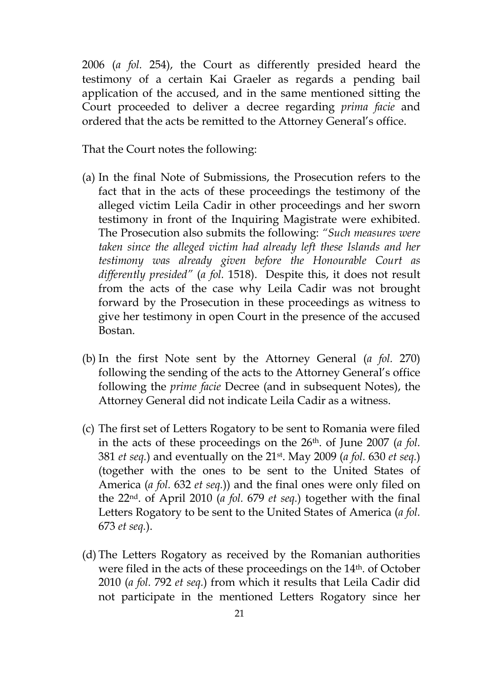2006 (*a fol.* 254), the Court as differently presided heard the testimony of a certain Kai Graeler as regards a pending bail application of the accused, and in the same mentioned sitting the Court proceeded to deliver a decree regarding *prima facie* and ordered that the acts be remitted to the Attorney General's office.

That the Court notes the following:

- (a) In the final Note of Submissions, the Prosecution refers to the fact that in the acts of these proceedings the testimony of the alleged victim Leila Cadir in other proceedings and her sworn testimony in front of the Inquiring Magistrate were exhibited. The Prosecution also submits the following: *"Such measures were taken since the alleged victim had already left these Islands and her testimony was already given before the Honourable Court as differently presided"* (*a fol.* 1518). Despite this, it does not result from the acts of the case why Leila Cadir was not brought forward by the Prosecution in these proceedings as witness to give her testimony in open Court in the presence of the accused Bostan.
- (b) In the first Note sent by the Attorney General (*a fol.* 270) following the sending of the acts to the Attorney General's office following the *prime facie* Decree (and in subsequent Notes), the Attorney General did not indicate Leila Cadir as a witness.
- (c) The first set of Letters Rogatory to be sent to Romania were filed in the acts of these proceedings on the 26th. of June 2007 (*a fol.*  381 *et seq.*) and eventually on the 21st. May 2009 (*a fol.* 630 *et seq.*) (together with the ones to be sent to the United States of America (*a fol.* 632 *et seq.*)) and the final ones were only filed on the 22nd. of April 2010 (*a fol.* 679 *et seq.*) together with the final Letters Rogatory to be sent to the United States of America (*a fol.*  673 *et seq.*).
- (d) The Letters Rogatory as received by the Romanian authorities were filed in the acts of these proceedings on the 14<sup>th</sup>. of October 2010 (*a fol.* 792 *et seq.*) from which it results that Leila Cadir did not participate in the mentioned Letters Rogatory since her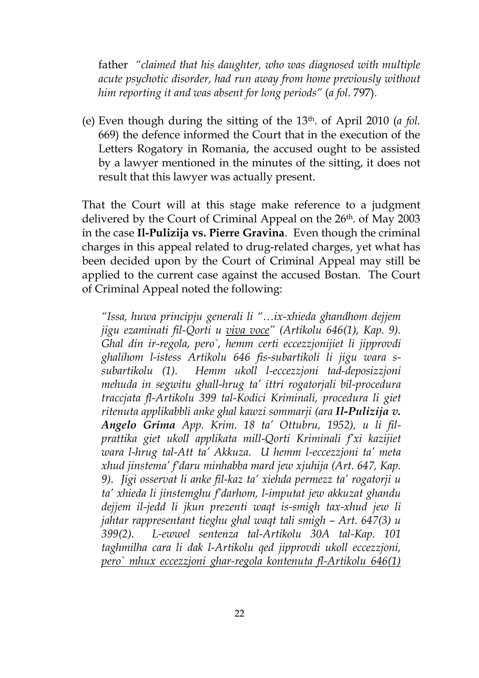father *"claimed that his daughter, who was diagnosed with multiple acute psychotic disorder, had run away from home previously without him reporting it and was absent for long periods"* (*a fol.* 797).

(e) Even though during the sitting of the 13th. of April 2010 (*a fol.*  669) the defence informed the Court that in the execution of the Letters Rogatory in Romania, the accused ought to be assisted by a lawyer mentioned in the minutes of the sitting, it does not result that this lawyer was actually present.

That the Court will at this stage make reference to a judgment delivered by the Court of Criminal Appeal on the 26<sup>th</sup>. of May 2003 in the case **Il-Pulizija vs. Pierre Gravina**. Even though the criminal charges in this appeal related to drug-related charges, yet what has been decided upon by the Court of Criminal Appeal may still be applied to the current case against the accused Bostan. The Court of Criminal Appeal noted the following:

*"Issa, huwa principju generali li "…ix-xhieda ghandhom dejjem jigu ezaminati fil-Qorti u viva voce" (Artikolu 646(1), Kap. 9). Ghal din ir-regola, pero`, hemm certi eccezzjonijiet li jipprovdi ghalihom l-istess Artikolu 646 fis-subartikoli li jigu wara ssubartikolu (1). Hemm ukoll l-eccezzjoni tad-deposizzjoni mehuda in segwitu ghall-hrug ta' ittri rogatorjali bil-procedura traccjata fl-Artikolu 399 tal-Kodici Kriminali, procedura li giet ritenuta applikabbli anke ghal kawzi sommarji (ara Il-Pulizija v. Angelo Grima App. Krim. 18 ta' Ottubru, 1952), u li filprattika giet ukoll applikata mill-Qorti Kriminali f'xi kazijiet wara l-hrug tal-Att ta' Akkuza. U hemm l-eccezzjoni ta' meta xhud jinstema' f'daru minhabba mard jew xjuhija (Art. 647, Kap. 9). Jigi osservat li anke fil-kaz ta' xiehda permezz ta' rogatorji u ta' xhieda li jinstemghu f'darhom, l-imputat jew akkuzat ghandu dejjem il-jedd li jkun prezenti waqt is-smigh tax-xhud jew li jahtar rappresentant tieghu ghal waqt tali smigh – Art. 647(3) u 399(2). L-ewwel sentenza tal-Artikolu 30A tal-Kap. 101 taghmilha cara li dak l-Artikolu qed jipprovdi ukoll eccezzjoni, pero` mhux eccezzjoni ghar-regola kontenuta fl-Artikolu 646(1)*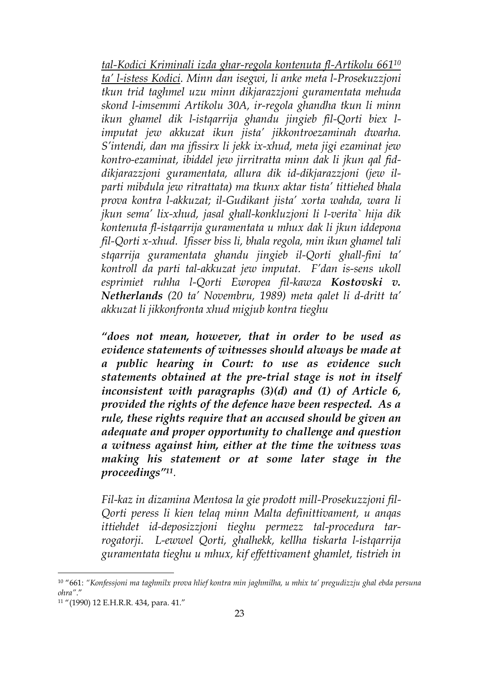*tal-Kodici Kriminali izda ghar-regola kontenuta fl-Artikolu 661<sup>10</sup> ta' l-istess Kodici. Minn dan isegwi, li anke meta l-Prosekuzzjoni tkun trid taghmel uzu minn dikjarazzjoni guramentata mehuda skond l-imsemmi Artikolu 30A, ir-regola ghandha tkun li minn ikun ghamel dik l-istqarrija ghandu jingieb fil-Qorti biex limputat jew akkuzat ikun jista' jikkontroezaminah dwarha. S'intendi, dan ma jfissirx li jekk ix-xhud, meta jigi ezaminat jew kontro-ezaminat, ibiddel jew jirritratta minn dak li jkun qal fiddikjarazzjoni guramentata, allura dik id-dikjarazzjoni (jew ilparti mibdula jew ritrattata) ma tkunx aktar tista' tittiehed bhala prova kontra l-akkuzat; il-Gudikant jista' xorta wahda, wara li jkun sema' lix-xhud, jasal ghall-konkluzjoni li l-verita` hija dik kontenuta fl-istqarrija guramentata u mhux dak li jkun iddepona fil-Qorti x-xhud. Ifisser biss li, bhala regola, min ikun ghamel tali stqarrija guramentata ghandu jingieb il-Qorti ghall-fini ta' kontroll da parti tal-akkuzat jew imputat. F'dan is-sens ukoll esprimiet ruhha l-Qorti Ewropea fil-kawza Kostovski v. Netherlands (20 ta' Novembru, 1989) meta qalet li d-dritt ta' akkuzat li jikkonfronta xhud migjub kontra tieghu* 

*"does not mean, however, that in order to be used as evidence statements of witnesses should always be made at a public hearing in Court: to use as evidence such statements obtained at the pre-trial stage is not in itself inconsistent with paragraphs (3)(d) and (1) of Article 6, provided the rights of the defence have been respected. As a rule, these rights require that an accused should be given an adequate and proper opportunity to challenge and question a witness against him, either at the time the witness was making his statement or at some later stage in the proceedings"<sup>11</sup> .* 

*Fil-kaz in dizamina Mentosa la gie prodott mill-Prosekuzzjoni fil-Qorti peress li kien telaq minn Malta definittivament, u anqas ittiehdet id-deposizzjoni tieghu permezz tal-procedura tarrogatorji. L-ewwel Qorti, ghalhekk, kellha tiskarta l-istqarrija guramentata tieghu u mhux, kif effettivament ghamlet, tistrieh in* 

<sup>10</sup> "661: *"Konfessjoni ma taghmilx prova hlief kontra min jaghmilha, u mhix ta' pregudizzju ghal ebda persuna ohra"*."

<sup>11</sup> "(1990) 12 E.H.R.R. 434, para. 41."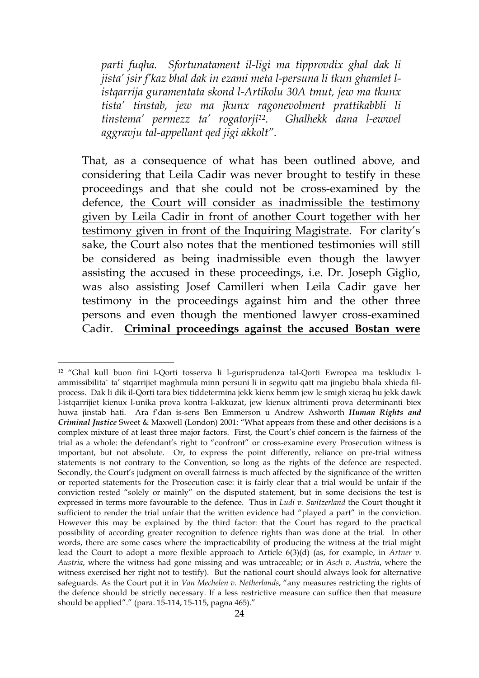*parti fuqha. Sfortunatament il-ligi ma tipprovdix ghal dak li jista' jsir f'kaz bhal dak in ezami meta l-persuna li tkun ghamlet listqarrija guramentata skond l-Artikolu 30A tmut, jew ma tkunx tista' tinstab, jew ma jkunx ragonevolment prattikabbli li tinstema' permezz ta' rogatorji12. Ghalhekk dana l-ewwel aggravju tal-appellant qed jigi akkolt".* 

That, as a consequence of what has been outlined above, and considering that Leila Cadir was never brought to testify in these proceedings and that she could not be cross-examined by the defence, the Court will consider as inadmissible the testimony given by Leila Cadir in front of another Court together with her testimony given in front of the Inquiring Magistrate. For clarity's sake, the Court also notes that the mentioned testimonies will still be considered as being inadmissible even though the lawyer assisting the accused in these proceedings, i.e. Dr. Joseph Giglio, was also assisting Josef Camilleri when Leila Cadir gave her testimony in the proceedings against him and the other three persons and even though the mentioned lawyer cross-examined Cadir. **Criminal proceedings against the accused Bostan were** 

<sup>12</sup> "Ghal kull buon fini l-Qorti tosserva li l-gurisprudenza tal-Qorti Ewropea ma teskludix lammissibilita` ta' stqarrijiet maghmula minn persuni li in segwitu qatt ma jingiebu bhala xhieda filprocess. Dak li dik il-Qorti tara biex tiddetermina jekk kienx hemm jew le smigh xieraq hu jekk dawk l-istqarrijiet kienux l-unika prova kontra l-akkuzat, jew kienux altrimenti prova determinanti biex huwa jinstab hati. Ara f'dan is-sens Ben Emmerson u Andrew Ashworth *Human Rights and Criminal Justice* Sweet & Maxwell (London) 2001: "What appears from these and other decisions is a complex mixture of at least three major factors. First, the Court's chief concern is the fairness of the trial as a whole: the defendant's right to "confront" or cross-examine every Prosecution witness is important, but not absolute. Or, to express the point differently, reliance on pre-trial witness statements is not contrary to the Convention, so long as the rights of the defence are respected. Secondly, the Court's judgment on overall fairness is much affected by the significance of the written or reported statements for the Prosecution case: it is fairly clear that a trial would be unfair if the conviction rested "solely or mainly" on the disputed statement, but in some decisions the test is expressed in terms more favourable to the defence. Thus in *Ludi v. Switzerland* the Court thought it sufficient to render the trial unfair that the written evidence had "played a part" in the conviction. However this may be explained by the third factor: that the Court has regard to the practical possibility of according greater recognition to defence rights than was done at the trial. In other words, there are some cases where the impracticability of producing the witness at the trial might lead the Court to adopt a more flexible approach to Article 6(3)(d) (as, for example, in *Artner v. Austria*, where the witness had gone missing and was untraceable; or in *Asch v. Austria*, where the witness exercised her right not to testify). But the national court should always look for alternative safeguards. As the Court put it in *Van Mechelen v. Netherlands*, "any measures restricting the rights of the defence should be strictly necessary. If a less restrictive measure can suffice then that measure should be applied"." (para. 15-114, 15-115, pagna 465)."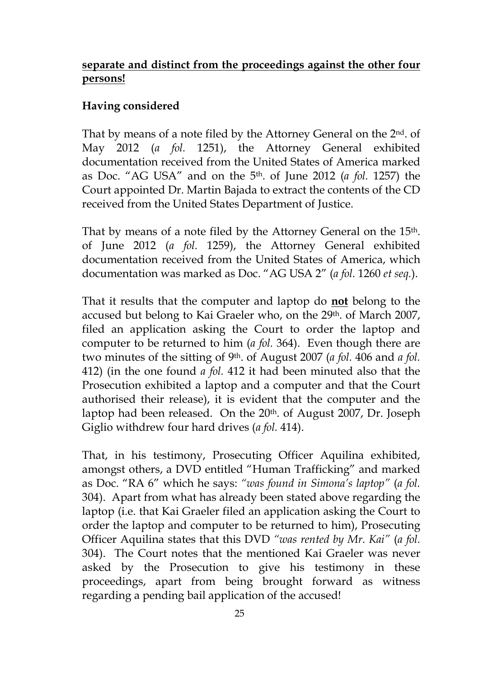### **separate and distinct from the proceedings against the other four persons!**

### **Having considered**

That by means of a note filed by the Attorney General on the 2<sup>nd</sup>. of May 2012 (*a fol.* 1251), the Attorney General exhibited documentation received from the United States of America marked as Doc. "AG USA" and on the 5th. of June 2012 (*a fol.* 1257) the Court appointed Dr. Martin Bajada to extract the contents of the CD received from the United States Department of Justice.

That by means of a note filed by the Attorney General on the 15<sup>th</sup>. of June 2012 (*a fol.* 1259), the Attorney General exhibited documentation received from the United States of America, which documentation was marked as Doc. "AG USA 2" (*a fol.* 1260 *et seq.*).

That it results that the computer and laptop do **not** belong to the accused but belong to Kai Graeler who, on the 29<sup>th</sup>. of March 2007, filed an application asking the Court to order the laptop and computer to be returned to him (*a fol.* 364). Even though there are two minutes of the sitting of 9th. of August 2007 (*a fol.* 406 and *a fol.*  412) (in the one found *a fol.* 412 it had been minuted also that the Prosecution exhibited a laptop and a computer and that the Court authorised their release), it is evident that the computer and the laptop had been released. On the 20<sup>th</sup> of August 2007, Dr. Joseph Giglio withdrew four hard drives (*a fol.* 414).

That, in his testimony, Prosecuting Officer Aquilina exhibited, amongst others, a DVD entitled "Human Trafficking" and marked as Doc. "RA 6" which he says: *"was found in Simona's laptop"* (*a fol.*  304). Apart from what has already been stated above regarding the laptop (i.e. that Kai Graeler filed an application asking the Court to order the laptop and computer to be returned to him), Prosecuting Officer Aquilina states that this DVD *"was rented by Mr. Kai"* (*a fol.*  304). The Court notes that the mentioned Kai Graeler was never asked by the Prosecution to give his testimony in these proceedings, apart from being brought forward as witness regarding a pending bail application of the accused!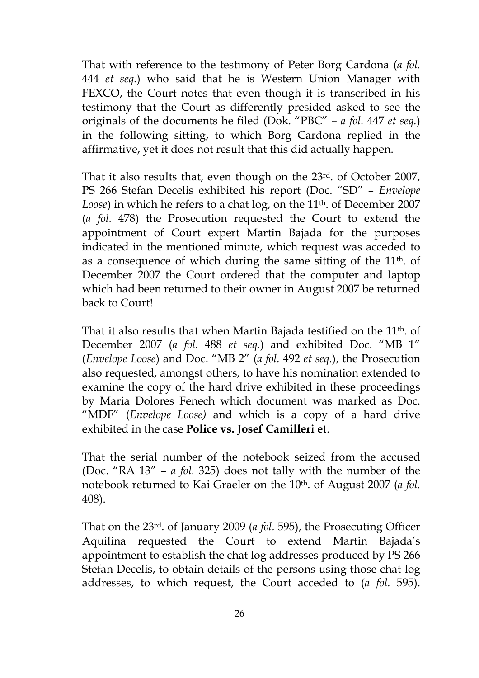That with reference to the testimony of Peter Borg Cardona (*a fol.*  444 *et seq.*) who said that he is Western Union Manager with FEXCO, the Court notes that even though it is transcribed in his testimony that the Court as differently presided asked to see the originals of the documents he filed (Dok. "PBC" – *a fol.* 447 *et seq.*) in the following sitting, to which Borg Cardona replied in the affirmative, yet it does not result that this did actually happen.

That it also results that, even though on the 23rd. of October 2007, PS 266 Stefan Decelis exhibited his report (Doc. "SD" – *Envelope*  Loose) in which he refers to a chat log, on the 11<sup>th</sup>. of December 2007 (*a fol.* 478) the Prosecution requested the Court to extend the appointment of Court expert Martin Bajada for the purposes indicated in the mentioned minute, which request was acceded to as a consequence of which during the same sitting of the 11<sup>th</sup>. of December 2007 the Court ordered that the computer and laptop which had been returned to their owner in August 2007 be returned back to Court!

That it also results that when Martin Bajada testified on the 11th. of December 2007 (*a fol.* 488 *et seq.*) and exhibited Doc. "MB 1" (*Envelope Loose*) and Doc. "MB 2" (*a fol.* 492 *et seq.*), the Prosecution also requested, amongst others, to have his nomination extended to examine the copy of the hard drive exhibited in these proceedings by Maria Dolores Fenech which document was marked as Doc. "MDF" (*Envelope Loose)* and which is a copy of a hard drive exhibited in the case **Police vs. Josef Camilleri et**.

That the serial number of the notebook seized from the accused (Doc. "RA 13" – *a fol.* 325) does not tally with the number of the notebook returned to Kai Graeler on the 10th. of August 2007 (*a fol.*  408).

That on the 23rd. of January 2009 (*a fol.* 595), the Prosecuting Officer Aquilina requested the Court to extend Martin Bajada's appointment to establish the chat log addresses produced by PS 266 Stefan Decelis, to obtain details of the persons using those chat log addresses, to which request, the Court acceded to (*a fol.* 595).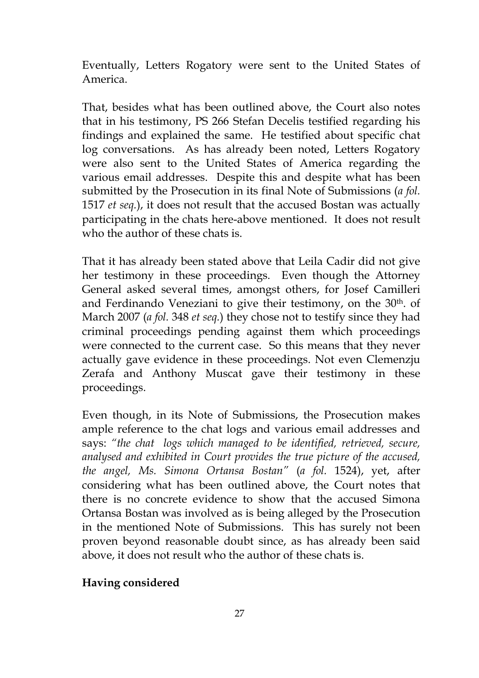Eventually, Letters Rogatory were sent to the United States of America.

That, besides what has been outlined above, the Court also notes that in his testimony, PS 266 Stefan Decelis testified regarding his findings and explained the same. He testified about specific chat log conversations. As has already been noted, Letters Rogatory were also sent to the United States of America regarding the various email addresses. Despite this and despite what has been submitted by the Prosecution in its final Note of Submissions (*a fol.*  1517 *et seq.*), it does not result that the accused Bostan was actually participating in the chats here-above mentioned. It does not result who the author of these chats is.

That it has already been stated above that Leila Cadir did not give her testimony in these proceedings. Even though the Attorney General asked several times, amongst others, for Josef Camilleri and Ferdinando Veneziani to give their testimony, on the 30th. of March 2007 (*a fol.* 348 *et seq.*) they chose not to testify since they had criminal proceedings pending against them which proceedings were connected to the current case. So this means that they never actually gave evidence in these proceedings. Not even Clemenzju Zerafa and Anthony Muscat gave their testimony in these proceedings.

Even though, in its Note of Submissions, the Prosecution makes ample reference to the chat logs and various email addresses and says: *"the chat logs which managed to be identified, retrieved, secure, analysed and exhibited in Court provides the true picture of the accused, the angel, Ms. Simona Ortansa Bostan"* (*a fol.* 1524), yet, after considering what has been outlined above, the Court notes that there is no concrete evidence to show that the accused Simona Ortansa Bostan was involved as is being alleged by the Prosecution in the mentioned Note of Submissions. This has surely not been proven beyond reasonable doubt since, as has already been said above, it does not result who the author of these chats is.

#### **Having considered**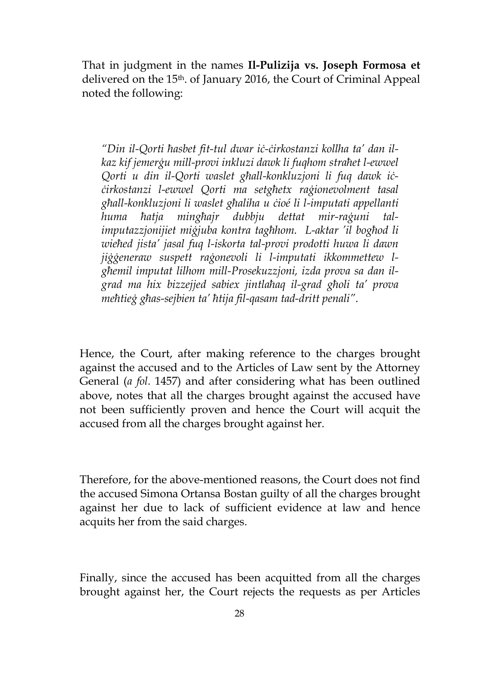That in judgment in the names **Il-Pulizija vs. Joseph Formosa et**  delivered on the 15th. of January 2016, the Court of Criminal Appeal noted the following:

*"Din il-Qorti ħasbet fit-tul dwar iċ-ċirkostanzi kollha ta' dan ilkaz kif jemerġu mill-provi inkluzi dawk li fuqhom straħet l-ewwel Qorti u din il-Qorti waslet għall-konkluzjoni li fuq dawk iċċirkostanzi l-ewwel Qorti ma setgħetx raġionevolment tasal għall-konkluzjoni li waslet għaliha u ċioé li l-imputati appellanti huma ħatja mingħajr dubbju dettat mir-raġuni talimputazzjonijiet miġjuba kontra tagħhom. L-aktar 'il bogħod li wieħed jista' jasal fuq l-iskorta tal-provi prodotti huwa li dawn jiġġeneraw suspett raġonevoli li l-imputati ikkommettew lgħemil imputat lilhom mill-Prosekuzzjoni, izda prova sa dan ilgrad ma hix bizzejjed sabiex jintlaħaq il-grad għoli ta' prova meħtieġ għas-sejbien ta' ħtija fil-qasam tad-dritt penali"*.

Hence, the Court, after making reference to the charges brought against the accused and to the Articles of Law sent by the Attorney General (*a fol.* 1457) and after considering what has been outlined above, notes that all the charges brought against the accused have not been sufficiently proven and hence the Court will acquit the accused from all the charges brought against her.

Therefore, for the above-mentioned reasons, the Court does not find the accused Simona Ortansa Bostan guilty of all the charges brought against her due to lack of sufficient evidence at law and hence acquits her from the said charges.

Finally, since the accused has been acquitted from all the charges brought against her, the Court rejects the requests as per Articles